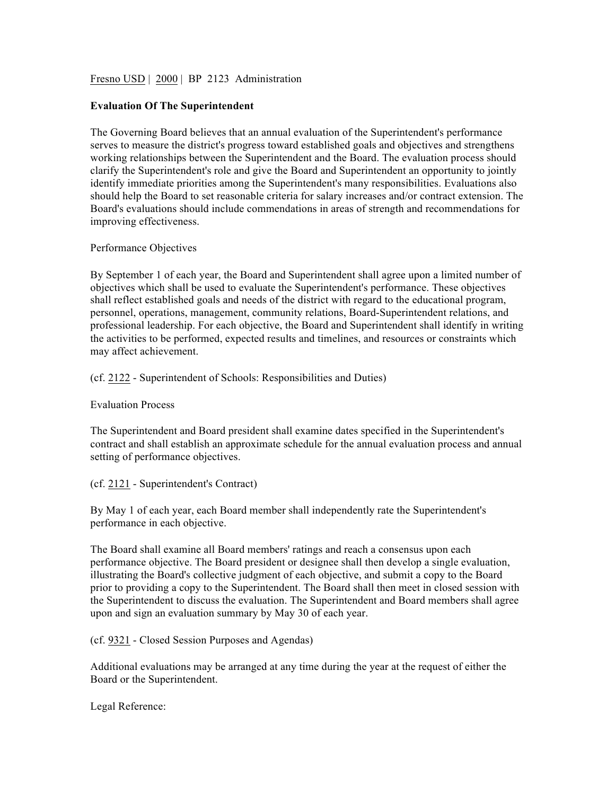Fresno USD | 2000 | BP 2123 Administration

#### **Evaluation Of The Superintendent**

The Governing Board believes that an annual evaluation of the Superintendent's performance serves to measure the district's progress toward established goals and objectives and strengthens working relationships between the Superintendent and the Board. The evaluation process should clarify the Superintendent's role and give the Board and Superintendent an opportunity to jointly identify immediate priorities among the Superintendent's many responsibilities. Evaluations also should help the Board to set reasonable criteria for salary increases and/or contract extension. The Board's evaluations should include commendations in areas of strength and recommendations for improving effectiveness.

### Performance Objectives

By September 1 of each year, the Board and Superintendent shall agree upon a limited number of objectives which shall be used to evaluate the Superintendent's performance. These objectives shall reflect established goals and needs of the district with regard to the educational program, personnel, operations, management, community relations, Board-Superintendent relations, and professional leadership. For each objective, the Board and Superintendent shall identify in writing the activities to be performed, expected results and timelines, and resources or constraints which may affect achievement.

### (cf. 2122 - Superintendent of Schools: Responsibilities and Duties)

### Evaluation Process

The Superintendent and Board president shall examine dates specified in the Superintendent's contract and shall establish an approximate schedule for the annual evaluation process and annual setting of performance objectives.

(cf. 2121 - Superintendent's Contract)

By May 1 of each year, each Board member shall independently rate the Superintendent's performance in each objective.

The Board shall examine all Board members' ratings and reach a consensus upon each performance objective. The Board president or designee shall then develop a single evaluation, illustrating the Board's collective judgment of each objective, and submit a copy to the Board prior to providing a copy to the Superintendent. The Board shall then meet in closed session with the Superintendent to discuss the evaluation. The Superintendent and Board members shall agree upon and sign an evaluation summary by May 30 of each year.

## (cf. 9321 - Closed Session Purposes and Agendas)

Additional evaluations may be arranged at any time during the year at the request of either the Board or the Superintendent.

Legal Reference: